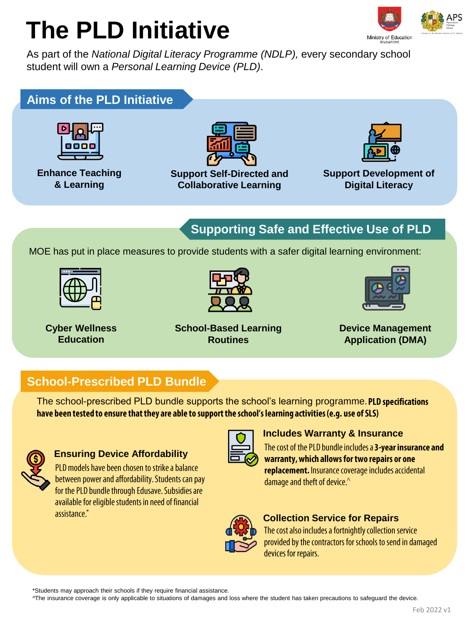# **The PLD Initiative** logical logical contractions and **The PLD** Initiative **logarity** of Education



As part of the *National Digital Literacy Programme (NDLP),* every secondary school student will own a *Personal Learning Device (PLD)*.

### **Aims of the PLD Initiative**



**Enhance Teaching & Learning**



**Support Self-Directed and Collaborative Learning**



**Support Development of Digital Literacy**

## **Supporting Safe and Effective Use of PLD**

MOE has put in place measures to provide students with a safer digital learning environment:



**Cyber Wellness Education**



**School-Based Learning Routines**



**Device Management Application (DMA)**

### **School-Prescribed PLD Bundle**

The school-prescribed PLD bundle supports the school's learning programme. PLD specifications have been tested to ensure that they are able to support the school's learning activities (e.g. use of SLS)



#### **Ensuring Device Affordability**

PLD models have been chosen to strike a balance between power and affordability. Students can pay for the PLD bundle through Edusave. Subsidies are available for eligible students in need of financial assistance.\*



#### **Includes Warranty & Insurance**

The cost of the PLD bundle includes a 3-year insurance and warranty, which allows for two repairs or one replacement. Insurance coverage includes accidental damage and theft of device.<sup>^</sup>



#### **Collection Service for Repairs**

The cost also includes a fortnightly collection service provided by the contractors for schools to send in damaged devices for repairs.

\*Students may approach their schools if they require financial assistance.

^The insurance coverage is only applicable to situations of damages and loss where the student has taken precautions to safeguard the device.